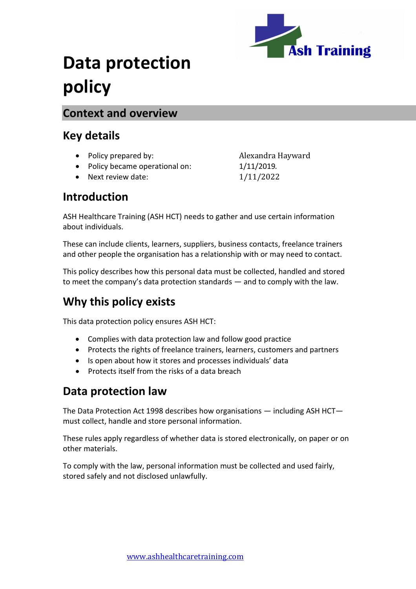

# **Data protection policy**

#### **Context and overview**

#### **Key details**

- Policy prepared by: Alexandra Hayward
- Policy became operational on: 1/11/2019.
- Next review date:  $1/11/2022$

### **Introduction**

ASH Healthcare Training (ASH HCT) needs to gather and use certain information about individuals.

These can include clients, learners, suppliers, business contacts, freelance trainers and other people the organisation has a relationship with or may need to contact.

This policy describes how this personal data must be collected, handled and stored to meet the company's data protection standards — and to comply with the law.

# **Why this policy exists**

This data protection policy ensures ASH HCT:

- Complies with data protection law and follow good practice
- Protects the rights of freelance trainers, learners, customers and partners
- Is open about how it stores and processes individuals' data
- Protects itself from the risks of a data breach

## **Data protection law**

The Data Protection Act 1998 describes how organisations — including ASH HCT must collect, handle and store personal information.

These rules apply regardless of whether data is stored electronically, on paper or on other materials.

To comply with the law, personal information must be collected and used fairly, stored safely and not disclosed unlawfully.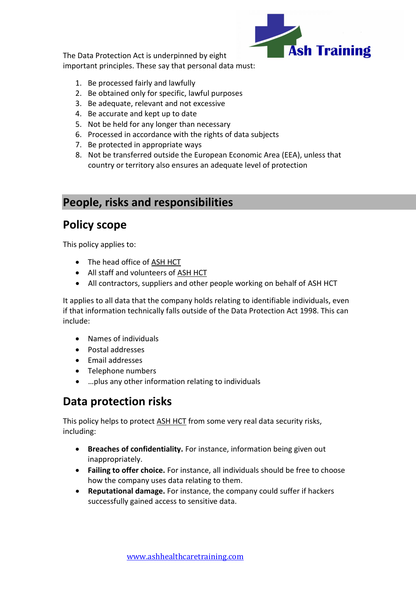

The Data Protection Act is underpinned by eight important principles. These say that personal data must:

- 1. Be processed fairly and lawfully
- 2. Be obtained only for specific, lawful purposes
- 3. Be adequate, relevant and not excessive
- 4. Be accurate and kept up to date
- 5. Not be held for any longer than necessary
- 6. Processed in accordance with the rights of data subjects
- 7. Be protected in appropriate ways
- 8. Not be transferred outside the European Economic Area (EEA), unless that country or territory also ensures an adequate level of protection

## **People, risks and responsibilities**

# **Policy scope**

This policy applies to:

- The head office of ASH HCT
- All staff and volunteers of ASH HCT
- All contractors, suppliers and other people working on behalf of ASH HCT

It applies to all data that the company holds relating to identifiable individuals, even if that information technically falls outside of the Data Protection Act 1998. This can include:

- Names of individuals
- Postal addresses
- Email addresses
- Telephone numbers
- …plus any other information relating to individuals

# **Data protection risks**

This policy helps to protect ASH HCT from some very real data security risks, including:

- **Breaches of confidentiality.** For instance, information being given out inappropriately.
- **Failing to offer choice.** For instance, all individuals should be free to choose how the company uses data relating to them.
- **Reputational damage.** For instance, the company could suffer if hackers successfully gained access to sensitive data.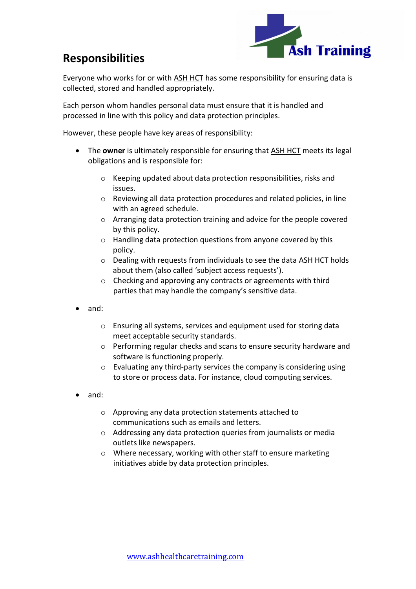

# **Responsibilities**

Everyone who works for or with ASH HCT has some responsibility for ensuring data is collected, stored and handled appropriately.

Each person whom handles personal data must ensure that it is handled and processed in line with this policy and data protection principles.

However, these people have key areas of responsibility:

- The **owner** is ultimately responsible for ensuring that ASH HCT meets its legal obligations and is responsible for:
	- o Keeping updated about data protection responsibilities, risks and issues.
	- o Reviewing all data protection procedures and related policies, in line with an agreed schedule.
	- o Arranging data protection training and advice for the people covered by this policy.
	- o Handling data protection questions from anyone covered by this policy.
	- o Dealing with requests from individuals to see the data ASH HCT holds about them (also called 'subject access requests').
	- o Checking and approving any contracts or agreements with third parties that may handle the company's sensitive data.
- and:
	- o Ensuring all systems, services and equipment used for storing data meet acceptable security standards.
	- o Performing regular checks and scans to ensure security hardware and software is functioning properly.
	- o Evaluating any third-party services the company is considering using to store or process data. For instance, cloud computing services.
- and:
	- o Approving any data protection statements attached to communications such as emails and letters.
	- o Addressing any data protection queries from journalists or media outlets like newspapers.
	- o Where necessary, working with other staff to ensure marketing initiatives abide by data protection principles.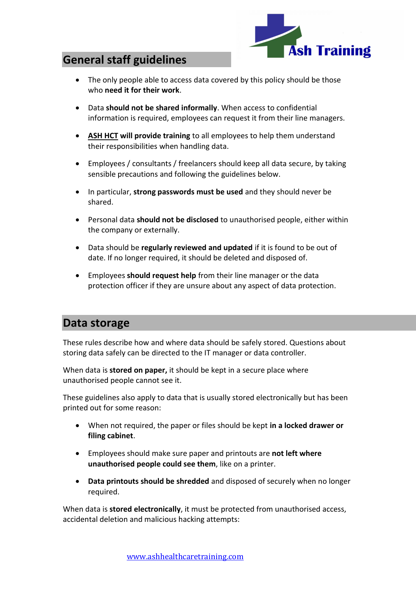

## **General staff guidelines**

- The only people able to access data covered by this policy should be those who **need it for their work**.
- Data **should not be shared informally**. When access to confidential information is required, employees can request it from their line managers.
- **ASH HCT will provide training** to all employees to help them understand their responsibilities when handling data.
- Employees / consultants / freelancers should keep all data secure, by taking sensible precautions and following the guidelines below.
- In particular, **strong passwords must be used** and they should never be shared.
- Personal data **should not be disclosed** to unauthorised people, either within the company or externally.
- Data should be **regularly reviewed and updated** if it is found to be out of date. If no longer required, it should be deleted and disposed of.
- Employees **should request help** from their line manager or the data protection officer if they are unsure about any aspect of data protection.

#### **Data storage**

These rules describe how and where data should be safely stored. Questions about storing data safely can be directed to the IT manager or data controller.

When data is **stored on paper,** it should be kept in a secure place where unauthorised people cannot see it.

These guidelines also apply to data that is usually stored electronically but has been printed out for some reason:

- When not required, the paper or files should be kept **in a locked drawer or filing cabinet**.
- Employees should make sure paper and printouts are **not left where unauthorised people could see them**, like on a printer.
- **Data printouts should be shredded** and disposed of securely when no longer required.

When data is **stored electronically**, it must be protected from unauthorised access, accidental deletion and malicious hacking attempts: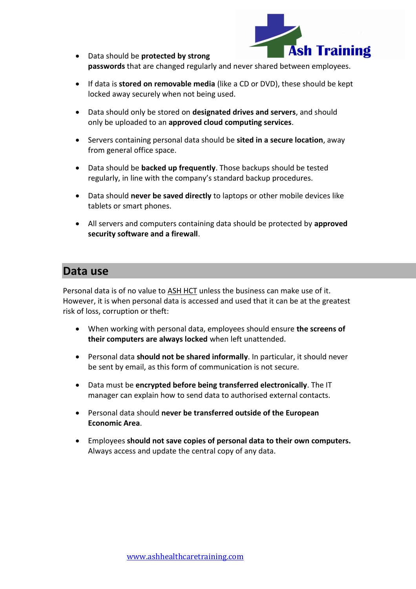

- Data should be **protected by strong passwords** that are changed regularly and never shared between employees.
- If data is **stored on removable media** (like a CD or DVD), these should be kept locked away securely when not being used.
- Data should only be stored on **designated drives and servers**, and should only be uploaded to an **approved cloud computing services**.
- Servers containing personal data should be **sited in a secure location**, away from general office space.
- Data should be **backed up frequently**. Those backups should be tested regularly, in line with the company's standard backup procedures.
- Data should **never be saved directly** to laptops or other mobile devices like tablets or smart phones.
- All servers and computers containing data should be protected by **approved security software and a firewall**.

#### **Data use**

Personal data is of no value to ASH HCT unless the business can make use of it. However, it is when personal data is accessed and used that it can be at the greatest risk of loss, corruption or theft:

- When working with personal data, employees should ensure **the screens of their computers are always locked** when left unattended.
- Personal data **should not be shared informally**. In particular, it should never be sent by email, as this form of communication is not secure.
- Data must be **encrypted before being transferred electronically**. The IT manager can explain how to send data to authorised external contacts.
- Personal data should **never be transferred outside of the European Economic Area**.
- Employees **should not save copies of personal data to their own computers.**  Always access and update the central copy of any data.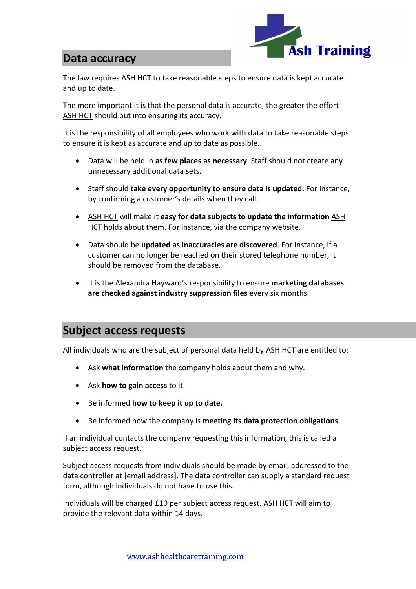

#### **Data accuracy**

The law requires ASH HCT to take reasonable steps to ensure data is kept accurate and up to date.

The more important it is that the personal data is accurate, the greater the effort ASH HCT should put into ensuring its accuracy.

It is the responsibility of all employees who work with data to take reasonable steps to ensure it is kept as accurate and up to date as possible.

- Data will be held in **as few places as necessary**. Staff should not create any unnecessary additional data sets.
- Staff should **take every opportunity to ensure data is updated.** For instance, by confirming a customer's details when they call.
- ASH HCT will make it **easy for data subjects to update the information** ASH HCT holds about them. For instance, via the company website.
- Data should be **updated as inaccuracies are discovered**. For instance, if a customer can no longer be reached on their stored telephone number, it should be removed from the database.
- It is the Alexandra Hayward's responsibility to ensure **marketing databases are checked against industry suppression files** every six months.

### **Subject access requests**

All individuals who are the subject of personal data held by ASH HCT are entitled to:

- Ask **what information** the company holds about them and why.
- Ask **how to gain access** to it.
- Be informed **how to keep it up to date.**
- Be informed how the company is **meeting its data protection obligations**.

If an individual contacts the company requesting this information, this is called a subject access request.

Subject access requests from individuals should be made by email, addressed to the data controller at [email address]. The data controller can supply a standard request form, although individuals do not have to use this.

Individuals will be charged £10 per subject access request. ASH HCT will aim to provide the relevant data within 14 days.